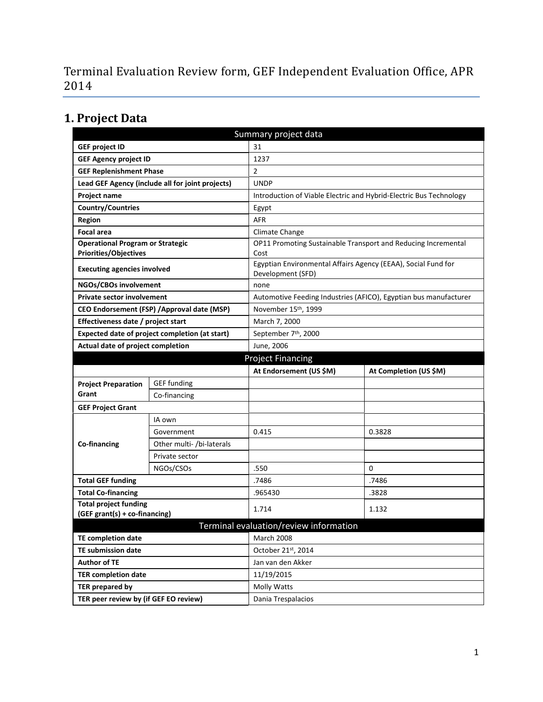Terminal Evaluation Review form, GEF Independent Evaluation Office, APR 2014

# **1. Project Data**

| Summary project data                           |                                                  |                                                                                    |                                                                    |  |  |
|------------------------------------------------|--------------------------------------------------|------------------------------------------------------------------------------------|--------------------------------------------------------------------|--|--|
| <b>GEF project ID</b>                          |                                                  | 31                                                                                 |                                                                    |  |  |
| <b>GEF Agency project ID</b>                   |                                                  | 1237                                                                               |                                                                    |  |  |
| <b>GEF Replenishment Phase</b>                 |                                                  | $\overline{2}$                                                                     |                                                                    |  |  |
|                                                | Lead GEF Agency (include all for joint projects) | <b>UNDP</b>                                                                        |                                                                    |  |  |
| Project name                                   |                                                  |                                                                                    | Introduction of Viable Electric and Hybrid-Electric Bus Technology |  |  |
| <b>Country/Countries</b>                       |                                                  | Egypt                                                                              |                                                                    |  |  |
| <b>Region</b>                                  |                                                  | <b>AFR</b>                                                                         |                                                                    |  |  |
| <b>Focal area</b>                              |                                                  | Climate Change                                                                     |                                                                    |  |  |
| <b>Operational Program or Strategic</b>        |                                                  |                                                                                    | OP11 Promoting Sustainable Transport and Reducing Incremental      |  |  |
| <b>Priorities/Objectives</b>                   |                                                  | Cost                                                                               |                                                                    |  |  |
| <b>Executing agencies involved</b>             |                                                  | Egyptian Environmental Affairs Agency (EEAA), Social Fund for<br>Development (SFD) |                                                                    |  |  |
| NGOs/CBOs involvement                          |                                                  | none                                                                               |                                                                    |  |  |
| <b>Private sector involvement</b>              |                                                  |                                                                                    | Automotive Feeding Industries (AFICO), Egyptian bus manufacturer   |  |  |
| CEO Endorsement (FSP) / Approval date (MSP)    |                                                  | November 15 <sup>th</sup> , 1999                                                   |                                                                    |  |  |
| Effectiveness date / project start             |                                                  | March 7, 2000                                                                      |                                                                    |  |  |
| Expected date of project completion (at start) |                                                  | September 7th, 2000                                                                |                                                                    |  |  |
| Actual date of project completion              |                                                  | June, 2006                                                                         |                                                                    |  |  |
| <b>Project Financing</b>                       |                                                  |                                                                                    |                                                                    |  |  |
|                                                |                                                  | At Endorsement (US \$M)                                                            | At Completion (US \$M)                                             |  |  |
| <b>Project Preparation</b>                     | <b>GEF</b> funding                               |                                                                                    |                                                                    |  |  |
| Grant                                          | Co-financing                                     |                                                                                    |                                                                    |  |  |
| <b>GEF Project Grant</b>                       |                                                  |                                                                                    |                                                                    |  |  |
|                                                | IA own                                           |                                                                                    |                                                                    |  |  |
|                                                | Government                                       | 0.415                                                                              | 0.3828                                                             |  |  |
| <b>Co-financing</b>                            | Other multi- /bi-laterals                        |                                                                                    |                                                                    |  |  |
|                                                | Private sector                                   |                                                                                    |                                                                    |  |  |
|                                                | NGOs/CSOs                                        | .550                                                                               | $\Omega$                                                           |  |  |
| <b>Total GEF funding</b>                       |                                                  | .7486                                                                              | .7486                                                              |  |  |
| <b>Total Co-financing</b>                      |                                                  | .965430                                                                            | .3828                                                              |  |  |
| <b>Total project funding</b>                   |                                                  | 1.714                                                                              | 1.132                                                              |  |  |
| (GEF grant(s) + co-financing)                  |                                                  |                                                                                    |                                                                    |  |  |
|                                                |                                                  | Terminal evaluation/review information                                             |                                                                    |  |  |
| <b>TE completion date</b>                      |                                                  | March 2008                                                                         |                                                                    |  |  |
| <b>TE submission date</b>                      |                                                  | October 21st, 2014                                                                 |                                                                    |  |  |
| <b>Author of TE</b>                            |                                                  | Jan van den Akker                                                                  |                                                                    |  |  |
| <b>TER completion date</b>                     |                                                  | 11/19/2015                                                                         |                                                                    |  |  |
| <b>TER prepared by</b>                         |                                                  | Molly Watts                                                                        |                                                                    |  |  |
| TER peer review by (if GEF EO review)          |                                                  | Dania Trespalacios                                                                 |                                                                    |  |  |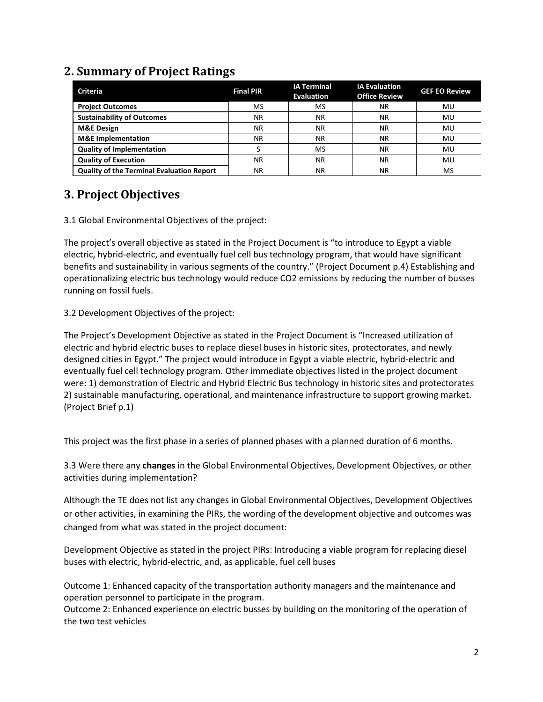## **2. Summary of Project Ratings**

| <b>Criteria</b>                                  | <b>Final PIR</b> | <b>IA Terminal</b><br><b>Evaluation</b> | <b>IA Evaluation</b><br><b>Office Review</b> | <b>GEF EO Review</b> |
|--------------------------------------------------|------------------|-----------------------------------------|----------------------------------------------|----------------------|
| <b>Project Outcomes</b>                          | MS               | <b>MS</b>                               | ΝR                                           | MU                   |
| <b>Sustainability of Outcomes</b>                | NR.              | ΝR                                      | ΝR                                           | MU                   |
| <b>M&amp;E Design</b>                            | NR.              | ΝR                                      | <b>NR</b>                                    | MU                   |
| <b>M&amp;E</b> Implementation                    | NR.              | ΝR                                      | <b>NR</b>                                    | MU                   |
| <b>Quality of Implementation</b>                 |                  | <b>MS</b>                               | ΝR                                           | MU                   |
| <b>Quality of Execution</b>                      | NR.              | ΝR                                      | <b>NR</b>                                    | MU                   |
| <b>Quality of the Terminal Evaluation Report</b> | ΝR               | ΝR                                      | ΝR                                           | MS                   |

## **3. Project Objectives**

3.1 Global Environmental Objectives of the project:

The project's overall objective as stated in the Project Document is "to introduce to Egypt a viable electric, hybrid-electric, and eventually fuel cell bus technology program, that would have significant benefits and sustainability in various segments of the country." (Project Document p.4) Establishing and operationalizing electric bus technology would reduce CO2 emissions by reducing the number of busses running on fossil fuels.

3.2 Development Objectives of the project:

The Project's Development Objective as stated in the Project Document is "Increased utilization of electric and hybrid electric buses to replace diesel buses in historic sites, protectorates, and newly designed cities in Egypt." The project would introduce in Egypt a viable electric, hybrid-electric and eventually fuel cell technology program. Other immediate objectives listed in the project document were: 1) demonstration of Electric and Hybrid Electric Bus technology in historic sites and protectorates 2) sustainable manufacturing, operational, and maintenance infrastructure to support growing market. (Project Brief p.1)

This project was the first phase in a series of planned phases with a planned duration of 6 months.

3.3 Were there any **changes** in the Global Environmental Objectives, Development Objectives, or other activities during implementation?

Although the TE does not list any changes in Global Environmental Objectives, Development Objectives or other activities, in examining the PIRs, the wording of the development objective and outcomes was changed from what was stated in the project document:

Development Objective as stated in the project PIRs: Introducing a viable program for replacing diesel buses with electric, hybrid-electric, and, as applicable, fuel cell buses

Outcome 1: Enhanced capacity of the transportation authority managers and the maintenance and operation personnel to participate in the program.

Outcome 2: Enhanced experience on electric busses by building on the monitoring of the operation of the two test vehicles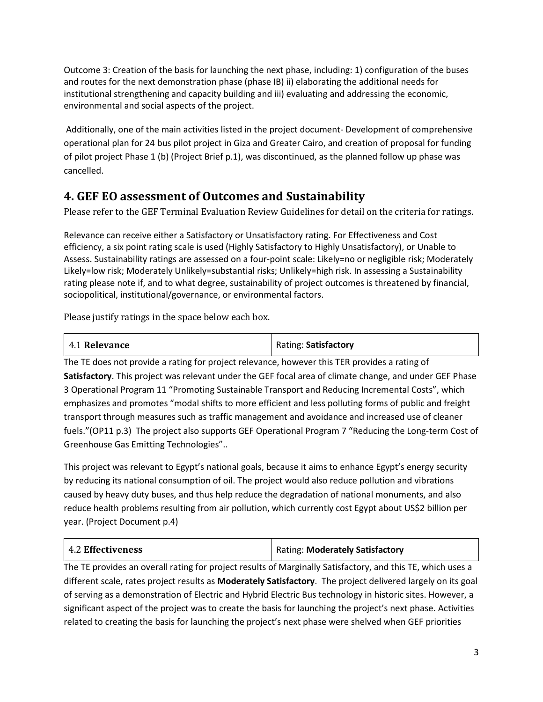Outcome 3: Creation of the basis for launching the next phase, including: 1) configuration of the buses and routes for the next demonstration phase (phase IB) ii) elaborating the additional needs for institutional strengthening and capacity building and iii) evaluating and addressing the economic, environmental and social aspects of the project.

Additionally, one of the main activities listed in the project document- Development of comprehensive operational plan for 24 bus pilot project in Giza and Greater Cairo, and creation of proposal for funding of pilot project Phase 1 (b) (Project Brief p.1), was discontinued, as the planned follow up phase was cancelled.

## **4. GEF EO assessment of Outcomes and Sustainability**

Please refer to the GEF Terminal Evaluation Review Guidelines for detail on the criteria for ratings.

Relevance can receive either a Satisfactory or Unsatisfactory rating. For Effectiveness and Cost efficiency, a six point rating scale is used (Highly Satisfactory to Highly Unsatisfactory), or Unable to Assess. Sustainability ratings are assessed on a four-point scale: Likely=no or negligible risk; Moderately Likely=low risk; Moderately Unlikely=substantial risks; Unlikely=high risk. In assessing a Sustainability rating please note if, and to what degree, sustainability of project outcomes is threatened by financial, sociopolitical, institutional/governance, or environmental factors.

Please justify ratings in the space below each box.

| 4.1 Relevance | Rating: Satisfactory |
|---------------|----------------------|
|               |                      |

The TE does not provide a rating for project relevance, however this TER provides a rating of **Satisfactory**. This project was relevant under the GEF focal area of climate change, and under GEF Phase 3 Operational Program 11 "Promoting Sustainable Transport and Reducing Incremental Costs", which emphasizes and promotes "modal shifts to more efficient and less polluting forms of public and freight transport through measures such as traffic management and avoidance and increased use of cleaner fuels."(OP11 p.3) The project also supports GEF Operational Program 7 "Reducing the Long-term Cost of Greenhouse Gas Emitting Technologies"..

This project was relevant to Egypt's national goals, because it aims to enhance Egypt's energy security by reducing its national consumption of oil. The project would also reduce pollution and vibrations caused by heavy duty buses, and thus help reduce the degradation of national monuments, and also reduce health problems resulting from air pollution, which currently cost Egypt about US\$2 billion per year. (Project Document p.4)

| 4.2 Effectiveness | Rating: Moderately Satisfactory |
|-------------------|---------------------------------|
|-------------------|---------------------------------|

The TE provides an overall rating for project results of Marginally Satisfactory, and this TE, which uses a different scale, rates project results as **Moderately Satisfactory**. The project delivered largely on its goal of serving as a demonstration of Electric and Hybrid Electric Bus technology in historic sites. However, a significant aspect of the project was to create the basis for launching the project's next phase. Activities related to creating the basis for launching the project's next phase were shelved when GEF priorities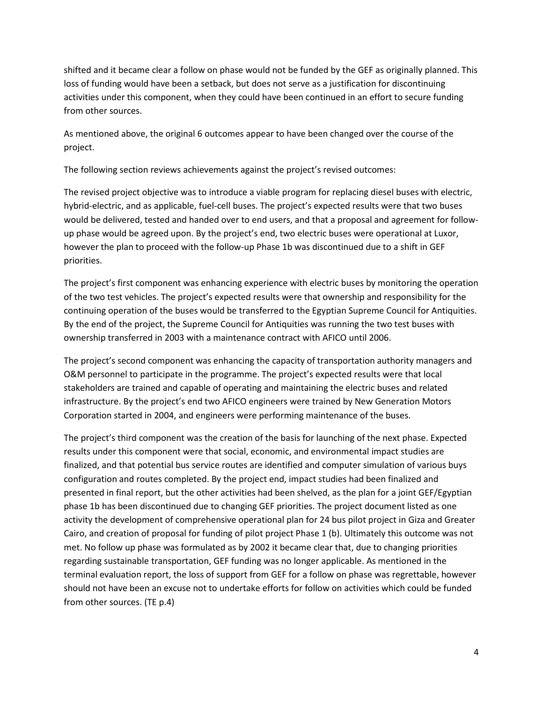shifted and it became clear a follow on phase would not be funded by the GEF as originally planned. This loss of funding would have been a setback, but does not serve as a justification for discontinuing activities under this component, when they could have been continued in an effort to secure funding from other sources.

As mentioned above, the original 6 outcomes appear to have been changed over the course of the project.

The following section reviews achievements against the project's revised outcomes:

The revised project objective was to introduce a viable program for replacing diesel buses with electric, hybrid-electric, and as applicable, fuel-cell buses. The project's expected results were that two buses would be delivered, tested and handed over to end users, and that a proposal and agreement for followup phase would be agreed upon. By the project's end, two electric buses were operational at Luxor, however the plan to proceed with the follow-up Phase 1b was discontinued due to a shift in GEF priorities.

The project's first component was enhancing experience with electric buses by monitoring the operation of the two test vehicles. The project's expected results were that ownership and responsibility for the continuing operation of the buses would be transferred to the Egyptian Supreme Council for Antiquities. By the end of the project, the Supreme Council for Antiquities was running the two test buses with ownership transferred in 2003 with a maintenance contract with AFICO until 2006.

The project's second component was enhancing the capacity of transportation authority managers and O&M personnel to participate in the programme. The project's expected results were that local stakeholders are trained and capable of operating and maintaining the electric buses and related infrastructure. By the project's end two AFICO engineers were trained by New Generation Motors Corporation started in 2004, and engineers were performing maintenance of the buses.

The project's third component was the creation of the basis for launching of the next phase. Expected results under this component were that social, economic, and environmental impact studies are finalized, and that potential bus service routes are identified and computer simulation of various buys configuration and routes completed. By the project end, impact studies had been finalized and presented in final report, but the other activities had been shelved, as the plan for a joint GEF/Egyptian phase 1b has been discontinued due to changing GEF priorities. The project document listed as one activity the development of comprehensive operational plan for 24 bus pilot project in Giza and Greater Cairo, and creation of proposal for funding of pilot project Phase 1 (b). Ultimately this outcome was not met. No follow up phase was formulated as by 2002 it became clear that, due to changing priorities regarding sustainable transportation, GEF funding was no longer applicable. As mentioned in the terminal evaluation report, the loss of support from GEF for a follow on phase was regrettable, however should not have been an excuse not to undertake efforts for follow on activities which could be funded from other sources. (TE p.4)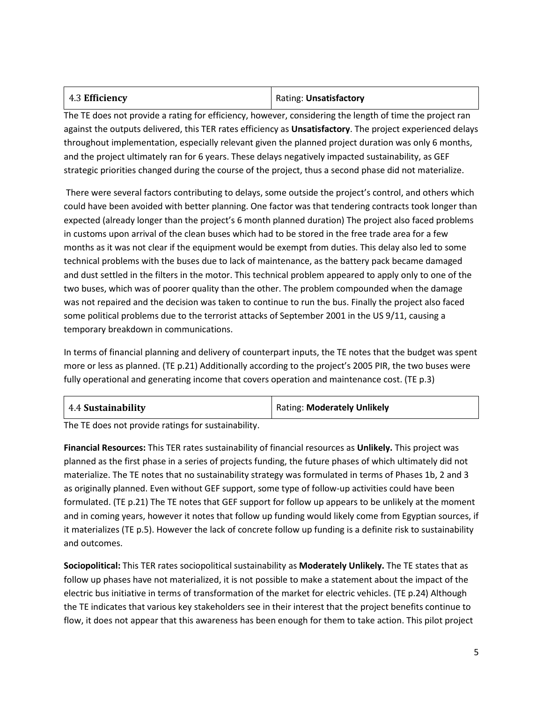| 4.3 Efficiency | Rating: Unsatisfactory |
|----------------|------------------------|
|----------------|------------------------|

The TE does not provide a rating for efficiency, however, considering the length of time the project ran against the outputs delivered, this TER rates efficiency as **Unsatisfactory**. The project experienced delays throughout implementation, especially relevant given the planned project duration was only 6 months, and the project ultimately ran for 6 years. These delays negatively impacted sustainability, as GEF strategic priorities changed during the course of the project, thus a second phase did not materialize.

There were several factors contributing to delays, some outside the project's control, and others which could have been avoided with better planning. One factor was that tendering contracts took longer than expected (already longer than the project's 6 month planned duration) The project also faced problems in customs upon arrival of the clean buses which had to be stored in the free trade area for a few months as it was not clear if the equipment would be exempt from duties. This delay also led to some technical problems with the buses due to lack of maintenance, as the battery pack became damaged and dust settled in the filters in the motor. This technical problem appeared to apply only to one of the two buses, which was of poorer quality than the other. The problem compounded when the damage was not repaired and the decision was taken to continue to run the bus. Finally the project also faced some political problems due to the terrorist attacks of September 2001 in the US 9/11, causing a temporary breakdown in communications.

In terms of financial planning and delivery of counterpart inputs, the TE notes that the budget was spent more or less as planned. (TE p.21) Additionally according to the project's 2005 PIR, the two buses were fully operational and generating income that covers operation and maintenance cost. (TE p.3)

| 4.4 Sustainability | <b>Rating: Moderately Unlikely</b> |
|--------------------|------------------------------------|
|--------------------|------------------------------------|

The TE does not provide ratings for sustainability.

**Financial Resources:** This TER rates sustainability of financial resources as **Unlikely.** This project was planned as the first phase in a series of projects funding, the future phases of which ultimately did not materialize. The TE notes that no sustainability strategy was formulated in terms of Phases 1b, 2 and 3 as originally planned. Even without GEF support, some type of follow-up activities could have been formulated. (TE p.21) The TE notes that GEF support for follow up appears to be unlikely at the moment and in coming years, however it notes that follow up funding would likely come from Egyptian sources, if it materializes (TE p.5). However the lack of concrete follow up funding is a definite risk to sustainability and outcomes.

**Sociopolitical:** This TER rates sociopolitical sustainability as **Moderately Unlikely.** The TE states that as follow up phases have not materialized, it is not possible to make a statement about the impact of the electric bus initiative in terms of transformation of the market for electric vehicles. (TE p.24) Although the TE indicates that various key stakeholders see in their interest that the project benefits continue to flow, it does not appear that this awareness has been enough for them to take action. This pilot project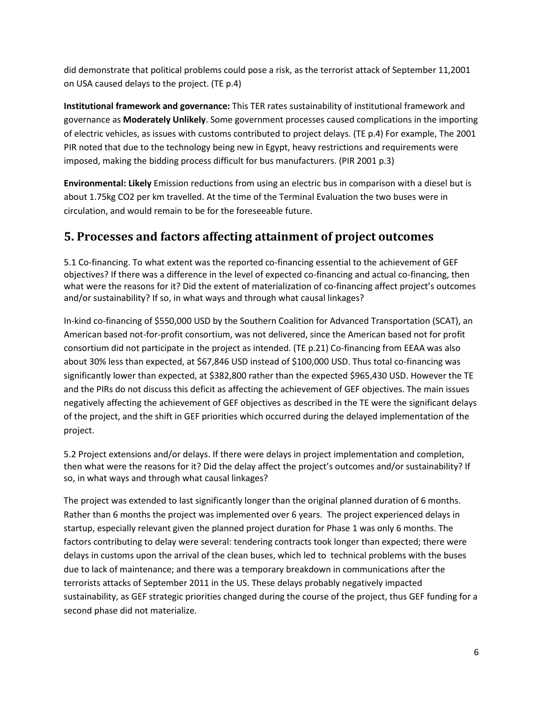did demonstrate that political problems could pose a risk, as the terrorist attack of September 11,2001 on USA caused delays to the project. (TE p.4)

**Institutional framework and governance:** This TER rates sustainability of institutional framework and governance as **Moderately Unlikely**. Some government processes caused complications in the importing of electric vehicles, as issues with customs contributed to project delays. (TE p.4) For example, The 2001 PIR noted that due to the technology being new in Egypt, heavy restrictions and requirements were imposed, making the bidding process difficult for bus manufacturers. (PIR 2001 p.3)

**Environmental: Likely** Emission reductions from using an electric bus in comparison with a diesel but is about 1.75kg CO2 per km travelled. At the time of the Terminal Evaluation the two buses were in circulation, and would remain to be for the foreseeable future.

## **5. Processes and factors affecting attainment of project outcomes**

5.1 Co-financing. To what extent was the reported co-financing essential to the achievement of GEF objectives? If there was a difference in the level of expected co-financing and actual co-financing, then what were the reasons for it? Did the extent of materialization of co-financing affect project's outcomes and/or sustainability? If so, in what ways and through what causal linkages?

In-kind co-financing of \$550,000 USD by the Southern Coalition for Advanced Transportation (SCAT), an American based not-for-profit consortium, was not delivered, since the American based not for profit consortium did not participate in the project as intended. (TE p.21) Co-financing from EEAA was also about 30% less than expected, at \$67,846 USD instead of \$100,000 USD. Thus total co-financing was significantly lower than expected, at \$382,800 rather than the expected \$965,430 USD. However the TE and the PIRs do not discuss this deficit as affecting the achievement of GEF objectives. The main issues negatively affecting the achievement of GEF objectives as described in the TE were the significant delays of the project, and the shift in GEF priorities which occurred during the delayed implementation of the project.

5.2 Project extensions and/or delays. If there were delays in project implementation and completion, then what were the reasons for it? Did the delay affect the project's outcomes and/or sustainability? If so, in what ways and through what causal linkages?

The project was extended to last significantly longer than the original planned duration of 6 months. Rather than 6 months the project was implemented over 6 years. The project experienced delays in startup, especially relevant given the planned project duration for Phase 1 was only 6 months. The factors contributing to delay were several: tendering contracts took longer than expected; there were delays in customs upon the arrival of the clean buses, which led to technical problems with the buses due to lack of maintenance; and there was a temporary breakdown in communications after the terrorists attacks of September 2011 in the US. These delays probably negatively impacted sustainability, as GEF strategic priorities changed during the course of the project, thus GEF funding for a second phase did not materialize.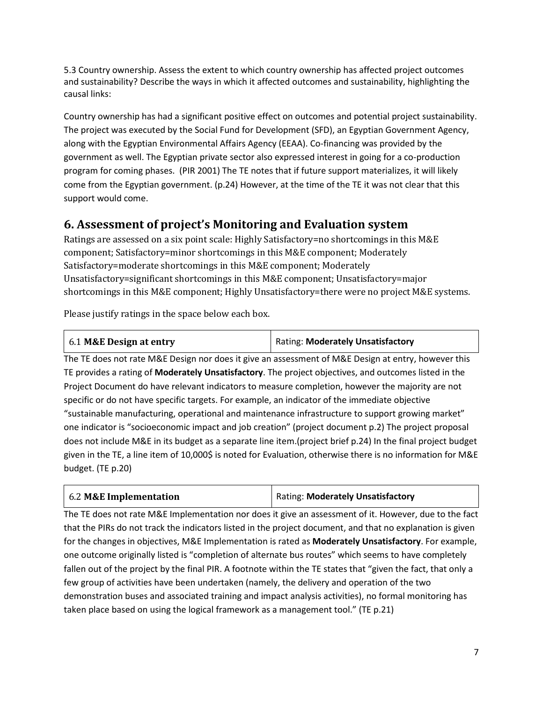5.3 Country ownership. Assess the extent to which country ownership has affected project outcomes and sustainability? Describe the ways in which it affected outcomes and sustainability, highlighting the causal links:

Country ownership has had a significant positive effect on outcomes and potential project sustainability. The project was executed by the Social Fund for Development (SFD), an Egyptian Government Agency, along with the Egyptian Environmental Affairs Agency (EEAA). Co-financing was provided by the government as well. The Egyptian private sector also expressed interest in going for a co-production program for coming phases. (PIR 2001) The TE notes that if future support materializes, it will likely come from the Egyptian government. (p.24) However, at the time of the TE it was not clear that this support would come.

## **6. Assessment of project's Monitoring and Evaluation system**

Ratings are assessed on a six point scale: Highly Satisfactory=no shortcomings in this M&E component; Satisfactory=minor shortcomings in this M&E component; Moderately Satisfactory=moderate shortcomings in this M&E component; Moderately Unsatisfactory=significant shortcomings in this M&E component; Unsatisfactory=major shortcomings in this M&E component; Highly Unsatisfactory=there were no project M&E systems.

Please justify ratings in the space below each box.

## 6.1 **M&E Design at entry** Rating: **Moderately Unsatisfactory**

The TE does not rate M&E Design nor does it give an assessment of M&E Design at entry, however this TE provides a rating of **Moderately Unsatisfactory**. The project objectives, and outcomes listed in the Project Document do have relevant indicators to measure completion, however the majority are not specific or do not have specific targets. For example, an indicator of the immediate objective "sustainable manufacturing, operational and maintenance infrastructure to support growing market" one indicator is "socioeconomic impact and job creation" (project document p.2) The project proposal does not include M&E in its budget as a separate line item.(project brief p.24) In the final project budget given in the TE, a line item of 10,000\$ is noted for Evaluation, otherwise there is no information for M&E budget. (TE p.20)

| 6.2 M&E Implementation | Rating: Moderately Unsatisfactory |
|------------------------|-----------------------------------|
|------------------------|-----------------------------------|

The TE does not rate M&E Implementation nor does it give an assessment of it. However, due to the fact that the PIRs do not track the indicators listed in the project document, and that no explanation is given for the changes in objectives, M&E Implementation is rated as **Moderately Unsatisfactory**. For example, one outcome originally listed is "completion of alternate bus routes" which seems to have completely fallen out of the project by the final PIR. A footnote within the TE states that "given the fact, that only a few group of activities have been undertaken (namely, the delivery and operation of the two demonstration buses and associated training and impact analysis activities), no formal monitoring has taken place based on using the logical framework as a management tool." (TE p.21)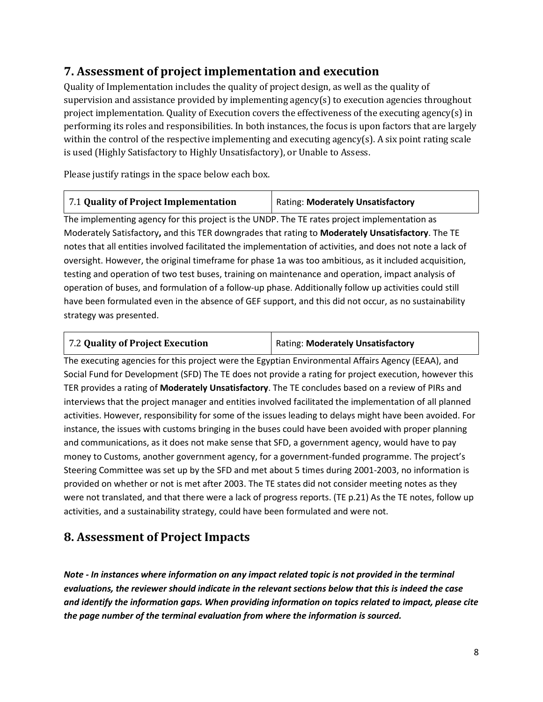## **7. Assessment of project implementation and execution**

Quality of Implementation includes the quality of project design, as well as the quality of supervision and assistance provided by implementing agency(s) to execution agencies throughout project implementation. Quality of Execution covers the effectiveness of the executing agency(s) in performing its roles and responsibilities. In both instances, the focus is upon factors that are largely within the control of the respective implementing and executing agency(s). A six point rating scale is used (Highly Satisfactory to Highly Unsatisfactory), or Unable to Assess.

Please justify ratings in the space below each box.

The implementing agency for this project is the UNDP. The TE rates project implementation as Moderately Satisfactory**,** and this TER downgrades that rating to **Moderately Unsatisfactory**. The TE notes that all entities involved facilitated the implementation of activities, and does not note a lack of oversight. However, the original timeframe for phase 1a was too ambitious, as it included acquisition, testing and operation of two test buses, training on maintenance and operation, impact analysis of operation of buses, and formulation of a follow-up phase. Additionally follow up activities could still have been formulated even in the absence of GEF support, and this did not occur, as no sustainability strategy was presented.

| 7.2 Quality of Project Execution | Rating: Moderately Unsatisfactory |
|----------------------------------|-----------------------------------|
|----------------------------------|-----------------------------------|

The executing agencies for this project were the Egyptian Environmental Affairs Agency (EEAA), and Social Fund for Development (SFD) The TE does not provide a rating for project execution, however this TER provides a rating of **Moderately Unsatisfactory**. The TE concludes based on a review of PIRs and interviews that the project manager and entities involved facilitated the implementation of all planned activities. However, responsibility for some of the issues leading to delays might have been avoided. For instance, the issues with customs bringing in the buses could have been avoided with proper planning and communications, as it does not make sense that SFD, a government agency, would have to pay money to Customs, another government agency, for a government-funded programme. The project's Steering Committee was set up by the SFD and met about 5 times during 2001-2003, no information is provided on whether or not is met after 2003. The TE states did not consider meeting notes as they were not translated, and that there were a lack of progress reports. (TE p.21) As the TE notes, follow up activities, and a sustainability strategy, could have been formulated and were not.

## **8. Assessment of Project Impacts**

*Note - In instances where information on any impact related topic is not provided in the terminal evaluations, the reviewer should indicate in the relevant sections below that this is indeed the case and identify the information gaps. When providing information on topics related to impact, please cite the page number of the terminal evaluation from where the information is sourced.*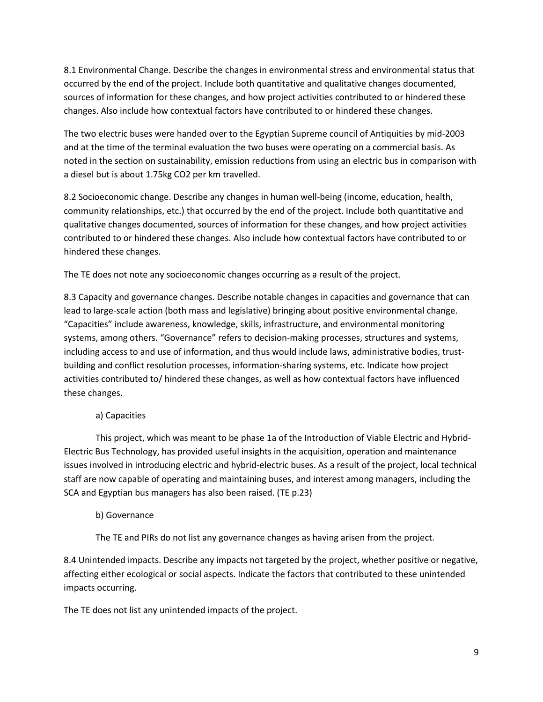8.1 Environmental Change. Describe the changes in environmental stress and environmental status that occurred by the end of the project. Include both quantitative and qualitative changes documented, sources of information for these changes, and how project activities contributed to or hindered these changes. Also include how contextual factors have contributed to or hindered these changes.

The two electric buses were handed over to the Egyptian Supreme council of Antiquities by mid-2003 and at the time of the terminal evaluation the two buses were operating on a commercial basis. As noted in the section on sustainability, emission reductions from using an electric bus in comparison with a diesel but is about 1.75kg CO2 per km travelled.

8.2 Socioeconomic change. Describe any changes in human well-being (income, education, health, community relationships, etc.) that occurred by the end of the project. Include both quantitative and qualitative changes documented, sources of information for these changes, and how project activities contributed to or hindered these changes. Also include how contextual factors have contributed to or hindered these changes.

The TE does not note any socioeconomic changes occurring as a result of the project.

8.3 Capacity and governance changes. Describe notable changes in capacities and governance that can lead to large-scale action (both mass and legislative) bringing about positive environmental change. "Capacities" include awareness, knowledge, skills, infrastructure, and environmental monitoring systems, among others. "Governance" refers to decision-making processes, structures and systems, including access to and use of information, and thus would include laws, administrative bodies, trustbuilding and conflict resolution processes, information-sharing systems, etc. Indicate how project activities contributed to/ hindered these changes, as well as how contextual factors have influenced these changes.

#### a) Capacities

This project, which was meant to be phase 1a of the Introduction of Viable Electric and Hybrid-Electric Bus Technology, has provided useful insights in the acquisition, operation and maintenance issues involved in introducing electric and hybrid-electric buses. As a result of the project, local technical staff are now capable of operating and maintaining buses, and interest among managers, including the SCA and Egyptian bus managers has also been raised. (TE p.23)

#### b) Governance

The TE and PIRs do not list any governance changes as having arisen from the project.

8.4 Unintended impacts. Describe any impacts not targeted by the project, whether positive or negative, affecting either ecological or social aspects. Indicate the factors that contributed to these unintended impacts occurring.

The TE does not list any unintended impacts of the project.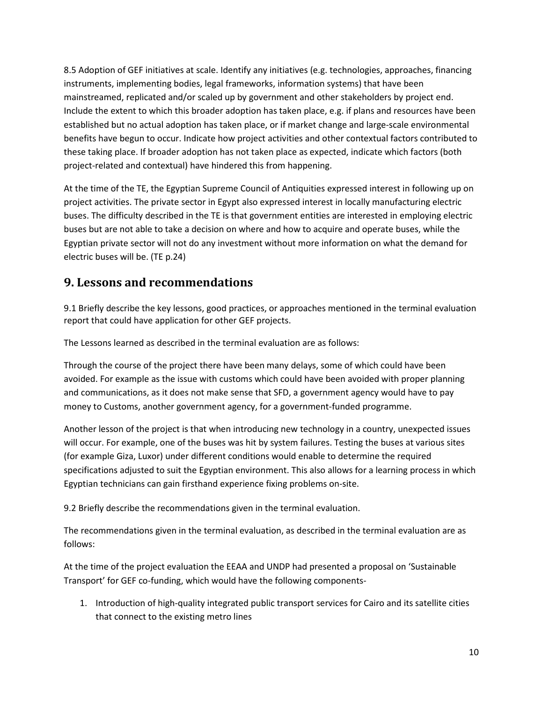8.5 Adoption of GEF initiatives at scale. Identify any initiatives (e.g. technologies, approaches, financing instruments, implementing bodies, legal frameworks, information systems) that have been mainstreamed, replicated and/or scaled up by government and other stakeholders by project end. Include the extent to which this broader adoption has taken place, e.g. if plans and resources have been established but no actual adoption has taken place, or if market change and large-scale environmental benefits have begun to occur. Indicate how project activities and other contextual factors contributed to these taking place. If broader adoption has not taken place as expected, indicate which factors (both project-related and contextual) have hindered this from happening.

At the time of the TE, the Egyptian Supreme Council of Antiquities expressed interest in following up on project activities. The private sector in Egypt also expressed interest in locally manufacturing electric buses. The difficulty described in the TE is that government entities are interested in employing electric buses but are not able to take a decision on where and how to acquire and operate buses, while the Egyptian private sector will not do any investment without more information on what the demand for electric buses will be. (TE p.24)

### **9. Lessons and recommendations**

9.1 Briefly describe the key lessons, good practices, or approaches mentioned in the terminal evaluation report that could have application for other GEF projects.

The Lessons learned as described in the terminal evaluation are as follows:

Through the course of the project there have been many delays, some of which could have been avoided. For example as the issue with customs which could have been avoided with proper planning and communications, as it does not make sense that SFD, a government agency would have to pay money to Customs, another government agency, for a government-funded programme.

Another lesson of the project is that when introducing new technology in a country, unexpected issues will occur. For example, one of the buses was hit by system failures. Testing the buses at various sites (for example Giza, Luxor) under different conditions would enable to determine the required specifications adjusted to suit the Egyptian environment. This also allows for a learning process in which Egyptian technicians can gain firsthand experience fixing problems on-site.

9.2 Briefly describe the recommendations given in the terminal evaluation.

The recommendations given in the terminal evaluation, as described in the terminal evaluation are as follows:

At the time of the project evaluation the EEAA and UNDP had presented a proposal on 'Sustainable Transport' for GEF co-funding, which would have the following components-

1. Introduction of high-quality integrated public transport services for Cairo and its satellite cities that connect to the existing metro lines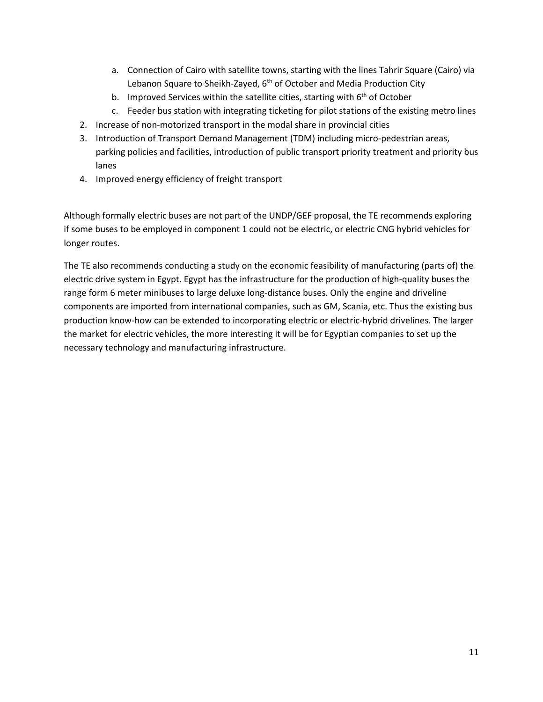- a. Connection of Cairo with satellite towns, starting with the lines Tahrir Square (Cairo) via Lebanon Square to Sheikh-Zayed, 6<sup>th</sup> of October and Media Production City
- b. Improved Services within the satellite cities, starting with  $6<sup>th</sup>$  of October
- c. Feeder bus station with integrating ticketing for pilot stations of the existing metro lines
- 2. Increase of non-motorized transport in the modal share in provincial cities
- 3. Introduction of Transport Demand Management (TDM) including micro-pedestrian areas, parking policies and facilities, introduction of public transport priority treatment and priority bus lanes
- 4. Improved energy efficiency of freight transport

Although formally electric buses are not part of the UNDP/GEF proposal, the TE recommends exploring if some buses to be employed in component 1 could not be electric, or electric CNG hybrid vehicles for longer routes.

The TE also recommends conducting a study on the economic feasibility of manufacturing (parts of) the electric drive system in Egypt. Egypt has the infrastructure for the production of high-quality buses the range form 6 meter minibuses to large deluxe long-distance buses. Only the engine and driveline components are imported from international companies, such as GM, Scania, etc. Thus the existing bus production know-how can be extended to incorporating electric or electric-hybrid drivelines. The larger the market for electric vehicles, the more interesting it will be for Egyptian companies to set up the necessary technology and manufacturing infrastructure.